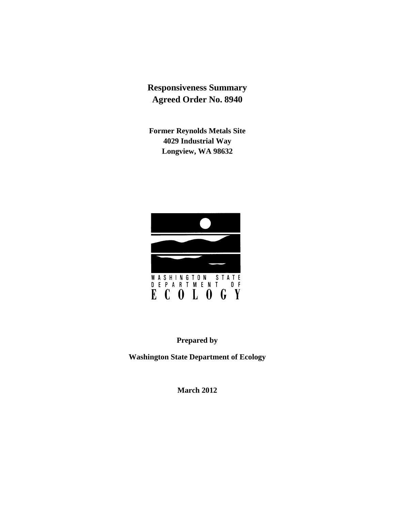# **Responsiveness Summary Agreed Order No. 8940**

**Former Reynolds Metals Site 4029 Industrial Way Longview, WA 98632**



**Prepared by**

**Washington State Department of Ecology**

**March 2012**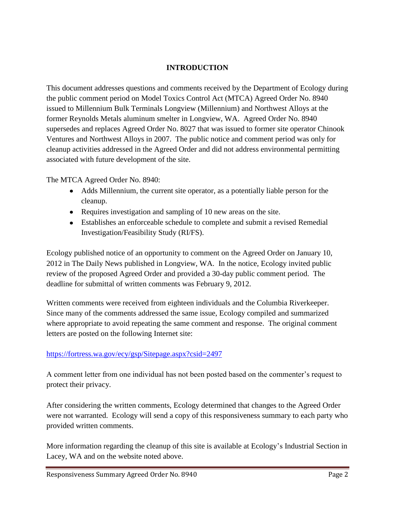# **INTRODUCTION**

This document addresses questions and comments received by the Department of Ecology during the public comment period on Model Toxics Control Act (MTCA) Agreed Order No. 8940 issued to Millennium Bulk Terminals Longview (Millennium) and Northwest Alloys at the former Reynolds Metals aluminum smelter in Longview, WA. Agreed Order No. 8940 supersedes and replaces Agreed Order No. 8027 that was issued to former site operator Chinook Ventures and Northwest Alloys in 2007. The public notice and comment period was only for cleanup activities addressed in the Agreed Order and did not address environmental permitting associated with future development of the site.

The MTCA Agreed Order No. 8940:

- Adds Millennium, the current site operator, as a potentially liable person for the cleanup.
- Requires investigation and sampling of 10 new areas on the site.
- Establishes an enforceable schedule to complete and submit a revised Remedial Investigation/Feasibility Study (RI/FS).

Ecology published notice of an opportunity to comment on the Agreed Order on January 10, 2012 in The Daily News published in Longview, WA. In the notice, Ecology invited public review of the proposed Agreed Order and provided a 30-day public comment period. The deadline for submittal of written comments was February 9, 2012.

Written comments were received from eighteen individuals and the Columbia Riverkeeper. Since many of the comments addressed the same issue, Ecology compiled and summarized where appropriate to avoid repeating the same comment and response. The original comment letters are posted on the following Internet site:

# <https://fortress.wa.gov/ecy/gsp/Sitepage.aspx?csid=2497>

A comment letter from one individual has not been posted based on the commenter's request to protect their privacy.

After considering the written comments, Ecology determined that changes to the Agreed Order were not warranted. Ecology will send a copy of this responsiveness summary to each party who provided written comments.

More information regarding the cleanup of this site is available at Ecology's Industrial Section in Lacey, WA and on the website noted above.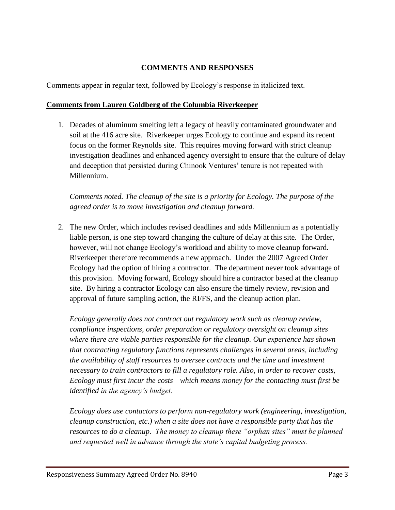# **COMMENTS AND RESPONSES**

Comments appear in regular text, followed by Ecology's response in italicized text.

## **Comments from Lauren Goldberg of the Columbia Riverkeeper**

1. Decades of aluminum smelting left a legacy of heavily contaminated groundwater and soil at the 416 acre site. Riverkeeper urges Ecology to continue and expand its recent focus on the former Reynolds site. This requires moving forward with strict cleanup investigation deadlines and enhanced agency oversight to ensure that the culture of delay and deception that persisted during Chinook Ventures' tenure is not repeated with Millennium.

*Comments noted. The cleanup of the site is a priority for Ecology. The purpose of the agreed order is to move investigation and cleanup forward.*

2. The new Order, which includes revised deadlines and adds Millennium as a potentially liable person, is one step toward changing the culture of delay at this site. The Order, however, will not change Ecology's workload and ability to move cleanup forward. Riverkeeper therefore recommends a new approach. Under the 2007 Agreed Order Ecology had the option of hiring a contractor. The department never took advantage of this provision. Moving forward, Ecology should hire a contractor based at the cleanup site. By hiring a contractor Ecology can also ensure the timely review, revision and approval of future sampling action, the RI/FS, and the cleanup action plan.

*Ecology generally does not contract out regulatory work such as cleanup review, compliance inspections, order preparation or regulatory oversight on cleanup sites where there are viable parties responsible for the cleanup. Our experience has shown that contracting regulatory functions represents challenges in several areas, including the availability of staff resources to oversee contracts and the time and investment necessary to train contractors to fill a regulatory role. Also, in order to recover costs, Ecology must first incur the costs—which means money for the contacting must first be identified in the agency's budget.*

*Ecology does use contactors to perform non-regulatory work (engineering, investigation, cleanup construction, etc.) when a site does not have a responsible party that has the resources to do a cleanup. The money to cleanup these "orphan sites" must be planned and requested well in advance through the state's capital budgeting process.*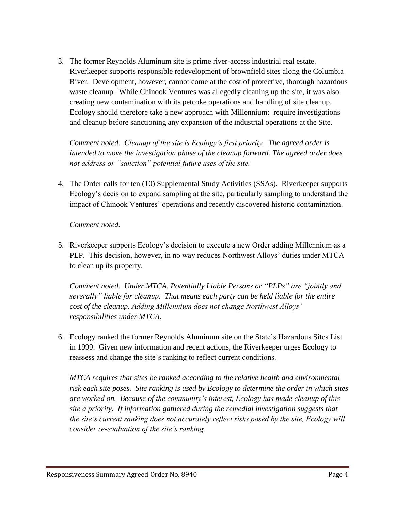3. The former Reynolds Aluminum site is prime river-access industrial real estate. Riverkeeper supports responsible redevelopment of brownfield sites along the Columbia River. Development, however, cannot come at the cost of protective, thorough hazardous waste cleanup. While Chinook Ventures was allegedly cleaning up the site, it was also creating new contamination with its petcoke operations and handling of site cleanup. Ecology should therefore take a new approach with Millennium: require investigations and cleanup before sanctioning any expansion of the industrial operations at the Site.

*Comment noted. Cleanup of the site is Ecology's first priority. The agreed order is intended to move the investigation phase of the cleanup forward. The agreed order does*  not address or "sanction" potential future uses of the site.

4. The Order calls for ten (10) Supplemental Study Activities (SSAs). Riverkeeper supports Ecology's decision to expand sampling at the site, particularly sampling to understand the impact of Chinook Ventures' operations and recently discovered historic contamination.

#### *Comment noted.*

5. Riverkeeper supports Ecology's decision to execute a new Order adding Millennium as a PLP. This decision, however, in no way reduces Northwest Alloys' duties under MTCA to clean up its property.

*Comment noted. Under MTCA, Potentially Liable Persons or "PLPs" are "jointly and severally‖ liable for cleanup. That means each party can be held liable for the entire cost of the cleanup. Adding Millennium does not change Northwest Alloys' responsibilities under MTCA.*

6. Ecology ranked the former Reynolds Aluminum site on the State's Hazardous Sites List in 1999. Given new information and recent actions, the Riverkeeper urges Ecology to reassess and change the site's ranking to reflect current conditions.

*MTCA requires that sites be ranked according to the relative health and environmental risk each site poses. Site ranking is used by Ecology to determine the order in which sites are worked on. Because of the community's interest, Ecology has made cleanup of this site a priority. If information gathered during the remedial investigation suggests that the site's current ranking does not accurately reflect risks posed by the site, Ecology will consider re-evaluation of the site's ranking.*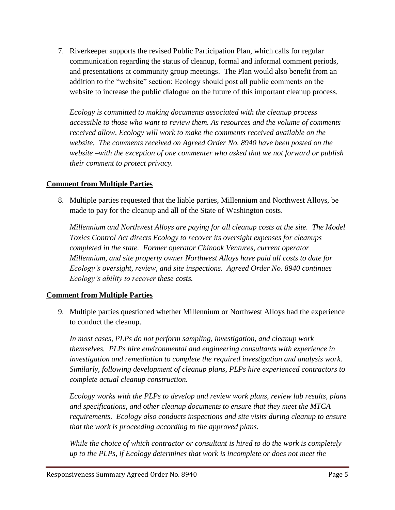7. Riverkeeper supports the revised Public Participation Plan, which calls for regular communication regarding the status of cleanup, formal and informal comment periods, and presentations at community group meetings. The Plan would also benefit from an addition to the "website" section: Ecology should post all public comments on the website to increase the public dialogue on the future of this important cleanup process.

*Ecology is committed to making documents associated with the cleanup process accessible to those who want to review them. As resources and the volume of comments received allow, Ecology will work to make the comments received available on the website. The comments received on Agreed Order No. 8940 have been posted on the website –with the exception of one commenter who asked that we not forward or publish their comment to protect privacy.*

# **Comment from Multiple Parties**

8. Multiple parties requested that the liable parties, Millennium and Northwest Alloys, be made to pay for the cleanup and all of the State of Washington costs.

*Millennium and Northwest Alloys are paying for all cleanup costs at the site. The Model Toxics Control Act directs Ecology to recover its oversight expenses for cleanups completed in the state. Former operator Chinook Ventures, current operator Millennium, and site property owner Northwest Alloys have paid all costs to date for Ecology's oversight, review, and site inspections. Agreed Order No. 8940 continues Ecology's ability to recover these costs.*

#### **Comment from Multiple Parties**

9. Multiple parties questioned whether Millennium or Northwest Alloys had the experience to conduct the cleanup.

*In most cases, PLPs do not perform sampling, investigation, and cleanup work themselves. PLPs hire environmental and engineering consultants with experience in investigation and remediation to complete the required investigation and analysis work. Similarly, following development of cleanup plans, PLPs hire experienced contractors to complete actual cleanup construction.*

*Ecology works with the PLPs to develop and review work plans, review lab results, plans and specifications, and other cleanup documents to ensure that they meet the MTCA requirements. Ecology also conducts inspections and site visits during cleanup to ensure that the work is proceeding according to the approved plans.*

*While the choice of which contractor or consultant is hired to do the work is completely up to the PLPs, if Ecology determines that work is incomplete or does not meet the*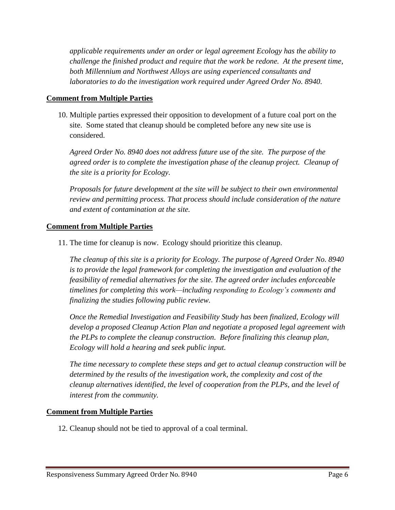*applicable requirements under an order or legal agreement Ecology has the ability to challenge the finished product and require that the work be redone. At the present time, both Millennium and Northwest Alloys are using experienced consultants and laboratories to do the investigation work required under Agreed Order No. 8940.* 

## **Comment from Multiple Parties**

10. Multiple parties expressed their opposition to development of a future coal port on the site. Some stated that cleanup should be completed before any new site use is considered.

*Agreed Order No. 8940 does not address future use of the site. The purpose of the agreed order is to complete the investigation phase of the cleanup project. Cleanup of the site is a priority for Ecology.*

*Proposals for future development at the site will be subject to their own environmental review and permitting process. That process should include consideration of the nature and extent of contamination at the site.*

# **Comment from Multiple Parties**

11. The time for cleanup is now. Ecology should prioritize this cleanup.

*The cleanup of this site is a priority for Ecology. The purpose of Agreed Order No. 8940 is to provide the legal framework for completing the investigation and evaluation of the feasibility of remedial alternatives for the site. The agreed order includes enforceable timelines for completing this work—including responding to Ecology's comments and finalizing the studies following public review.* 

*Once the Remedial Investigation and Feasibility Study has been finalized, Ecology will develop a proposed Cleanup Action Plan and negotiate a proposed legal agreement with the PLPs to complete the cleanup construction. Before finalizing this cleanup plan, Ecology will hold a hearing and seek public input.* 

*The time necessary to complete these steps and get to actual cleanup construction will be determined by the results of the investigation work, the complexity and cost of the cleanup alternatives identified, the level of cooperation from the PLPs, and the level of interest from the community.*

#### **Comment from Multiple Parties**

12. Cleanup should not be tied to approval of a coal terminal.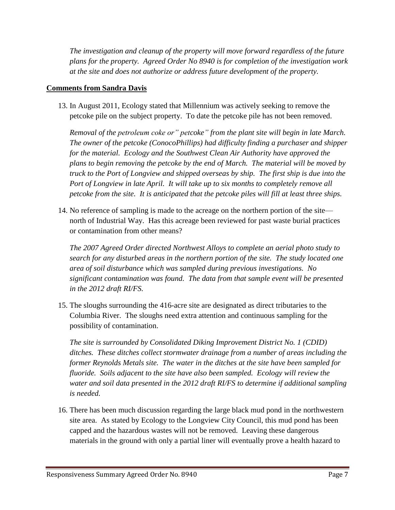*The investigation and cleanup of the property will move forward regardless of the future plans for the property. Agreed Order No 8940 is for completion of the investigation work at the site and does not authorize or address future development of the property.*

#### **Comments from Sandra Davis**

13. In August 2011, Ecology stated that Millennium was actively seeking to remove the petcoke pile on the subject property. To date the petcoke pile has not been removed.

*Removal of the petroleum coke or‖ petcoke‖ from the plant site will begin in late March. The owner of the petcoke (ConocoPhillips) had difficulty finding a purchaser and shipper for the material. Ecology and the Southwest Clean Air Authority have approved the plans to begin removing the petcoke by the end of March. The material will be moved by truck to the Port of Longview and shipped overseas by ship. The first ship is due into the Port of Longview in late April. It will take up to six months to completely remove all petcoke from the site. It is anticipated that the petcoke piles will fill at least three ships.*

14. No reference of sampling is made to the acreage on the northern portion of the site north of Industrial Way. Has this acreage been reviewed for past waste burial practices or contamination from other means?

*The 2007 Agreed Order directed Northwest Alloys to complete an aerial photo study to search for any disturbed areas in the northern portion of the site. The study located one area of soil disturbance which was sampled during previous investigations. No significant contamination was found. The data from that sample event will be presented in the 2012 draft RI/FS.* 

15. The sloughs surrounding the 416-acre site are designated as direct tributaries to the Columbia River. The sloughs need extra attention and continuous sampling for the possibility of contamination.

*The site is surrounded by Consolidated Diking Improvement District No. 1 (CDID) ditches. These ditches collect stormwater drainage from a number of areas including the former Reynolds Metals site. The water in the ditches at the site have been sampled for fluoride. Soils adjacent to the site have also been sampled. Ecology will review the water and soil data presented in the 2012 draft RI/FS to determine if additional sampling is needed.* 

16. There has been much discussion regarding the large black mud pond in the northwestern site area. As stated by Ecology to the Longview City Council, this mud pond has been capped and the hazardous wastes will not be removed. Leaving these dangerous materials in the ground with only a partial liner will eventually prove a health hazard to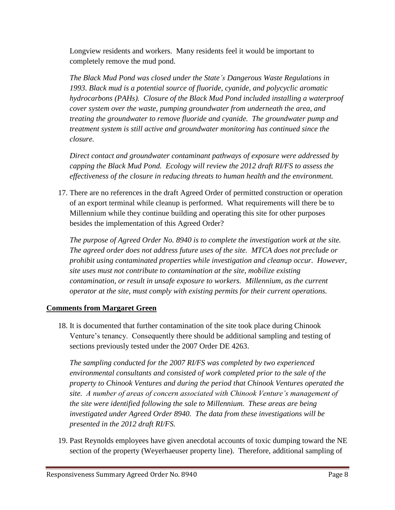Longview residents and workers. Many residents feel it would be important to completely remove the mud pond.

*The Black Mud Pond was closed under the State's Dangerous Waste Regulations in 1993. Black mud is a potential source of fluoride, cyanide, and polycyclic aromatic hydrocarbons (PAHs). Closure of the Black Mud Pond included installing a waterproof cover system over the waste, pumping groundwater from underneath the area, and treating the groundwater to remove fluoride and cyanide. The groundwater pump and treatment system is still active and groundwater monitoring has continued since the closure.* 

*Direct contact and groundwater contaminant pathways of exposure were addressed by capping the Black Mud Pond. Ecology will review the 2012 draft RI/FS to assess the effectiveness of the closure in reducing threats to human health and the environment.* 

17. There are no references in the draft Agreed Order of permitted construction or operation of an export terminal while cleanup is performed. What requirements will there be to Millennium while they continue building and operating this site for other purposes besides the implementation of this Agreed Order?

*The purpose of Agreed Order No. 8940 is to complete the investigation work at the site. The agreed order does not address future uses of the site. MTCA does not preclude or prohibit using contaminated properties while investigation and cleanup occur. However, site uses must not contribute to contamination at the site, mobilize existing contamination, or result in unsafe exposure to workers. Millennium, as the current operator at the site, must comply with existing permits for their current operations.*

#### **Comments from Margaret Green**

18. It is documented that further contamination of the site took place during Chinook Venture's tenancy. Consequently there should be additional sampling and testing of sections previously tested under the 2007 Order DE 4263.

*The sampling conducted for the 2007 RI/FS was completed by two experienced environmental consultants and consisted of work completed prior to the sale of the property to Chinook Ventures and during the period that Chinook Ventures operated the site. A number of areas of concern associated with Chinook Venture's management of the site were identified following the sale to Millennium. These areas are being investigated under Agreed Order 8940. The data from these investigations will be presented in the 2012 draft RI/FS.* 

19. Past Reynolds employees have given anecdotal accounts of toxic dumping toward the NE section of the property (Weyerhaeuser property line). Therefore, additional sampling of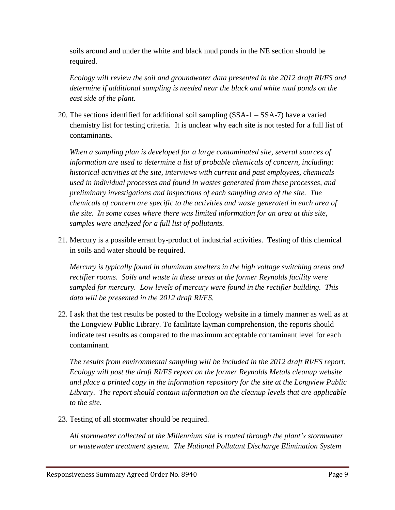soils around and under the white and black mud ponds in the NE section should be required.

*Ecology will review the soil and groundwater data presented in the 2012 draft RI/FS and determine if additional sampling is needed near the black and white mud ponds on the east side of the plant.*

20. The sections identified for additional soil sampling (SSA-1 – SSA-7) have a varied chemistry list for testing criteria. It is unclear why each site is not tested for a full list of contaminants.

*When a sampling plan is developed for a large contaminated site, several sources of information are used to determine a list of probable chemicals of concern, including: historical activities at the site, interviews with current and past employees, chemicals used in individual processes and found in wastes generated from these processes, and preliminary investigations and inspections of each sampling area of the site. The chemicals of concern are specific to the activities and waste generated in each area of the site. In some cases where there was limited information for an area at this site, samples were analyzed for a full list of pollutants.* 

21. Mercury is a possible errant by-product of industrial activities. Testing of this chemical in soils and water should be required.

*Mercury is typically found in aluminum smelters in the high voltage switching areas and rectifier rooms. Soils and waste in these areas at the former Reynolds facility were sampled for mercury. Low levels of mercury were found in the rectifier building. This data will be presented in the 2012 draft RI/FS.* 

22. I ask that the test results be posted to the Ecology website in a timely manner as well as at the Longview Public Library. To facilitate layman comprehension, the reports should indicate test results as compared to the maximum acceptable contaminant level for each contaminant.

*The results from environmental sampling will be included in the 2012 draft RI/FS report. Ecology will post the draft RI/FS report on the former Reynolds Metals cleanup website and place a printed copy in the information repository for the site at the Longview Public Library. The report should contain information on the cleanup levels that are applicable to the site.*

23. Testing of all stormwater should be required.

*All stormwater collected at the Millennium site is routed through the plant's stormwater or wastewater treatment system. The National Pollutant Discharge Elimination System*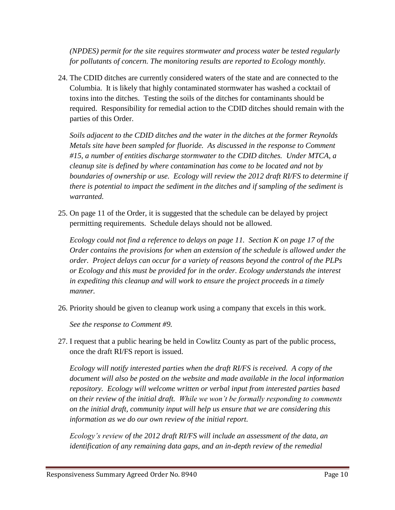*(NPDES) permit for the site requires stormwater and process water be tested regularly for pollutants of concern. The monitoring results are reported to Ecology monthly.* 

24. The CDID ditches are currently considered waters of the state and are connected to the Columbia. It is likely that highly contaminated stormwater has washed a cocktail of toxins into the ditches. Testing the soils of the ditches for contaminants should be required. Responsibility for remedial action to the CDID ditches should remain with the parties of this Order.

*Soils adjacent to the CDID ditches and the water in the ditches at the former Reynolds Metals site have been sampled for fluoride. As discussed in the response to Comment #15, a number of entities discharge stormwater to the CDID ditches. Under MTCA, a cleanup site is defined by where contamination has come to be located and not by boundaries of ownership or use. Ecology will review the 2012 draft RI/FS to determine if there is potential to impact the sediment in the ditches and if sampling of the sediment is warranted.* 

25. On page 11 of the Order, it is suggested that the schedule can be delayed by project permitting requirements. Schedule delays should not be allowed.

*Ecology could not find a reference to delays on page 11. Section K on page 17 of the Order contains the provisions for when an extension of the schedule is allowed under the order. Project delays can occur for a variety of reasons beyond the control of the PLPs or Ecology and this must be provided for in the order. Ecology understands the interest in expediting this cleanup and will work to ensure the project proceeds in a timely manner.*

26. Priority should be given to cleanup work using a company that excels in this work.

*See the response to Comment #9.*

27. I request that a public hearing be held in Cowlitz County as part of the public process, once the draft RI/FS report is issued.

*Ecology will notify interested parties when the draft RI/FS is received. A copy of the document will also be posted on the website and made available in the local information repository. Ecology will welcome written or verbal input from interested parties based on their review of the initial draft. While we won't be formally responding to comments on the initial draft, community input will help us ensure that we are considering this information as we do our own review of the initial report.*

*Ecology's review of the 2012 draft RI/FS will include an assessment of the data, an identification of any remaining data gaps, and an in-depth review of the remedial*